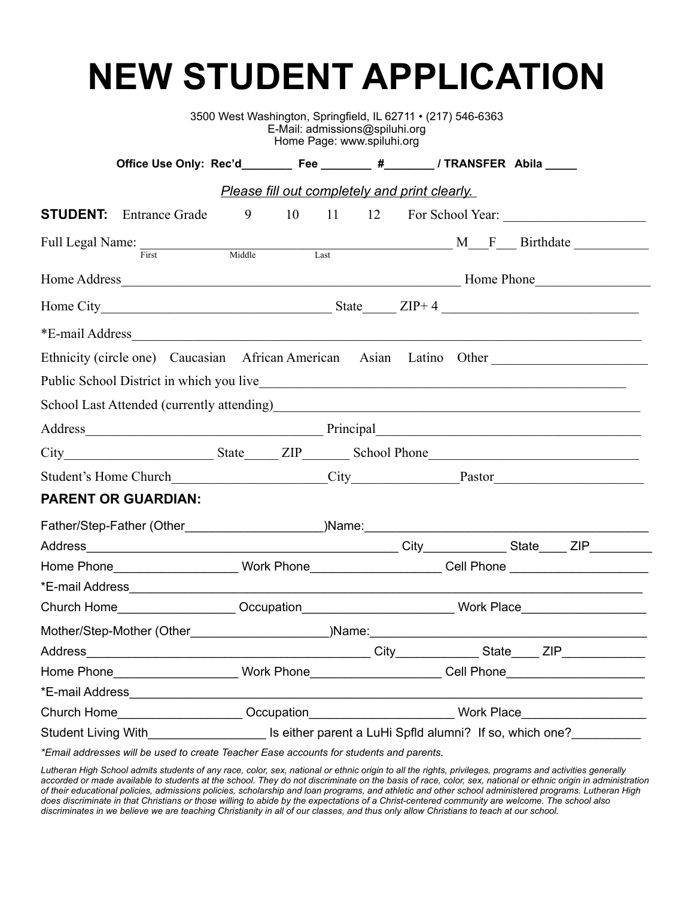# **NEW STUDENT APPLICATION**

|                                                                                                      |                                                                                                                                                                                                                                     |                                                                                  | E-Mail: admissions@spiluhi.org<br>Home Page: www.spiluhi.org |                                                                                                      |  | 3500 West Washington, Springfield, IL 62711 • (217) 546-6363 |  |  |                           |
|------------------------------------------------------------------------------------------------------|-------------------------------------------------------------------------------------------------------------------------------------------------------------------------------------------------------------------------------------|----------------------------------------------------------------------------------|--------------------------------------------------------------|------------------------------------------------------------------------------------------------------|--|--------------------------------------------------------------|--|--|---------------------------|
|                                                                                                      | Office Use Only: Rec'd___________ Fee _________ #________ / TRANSFER Abila _____                                                                                                                                                    |                                                                                  |                                                              |                                                                                                      |  |                                                              |  |  |                           |
|                                                                                                      |                                                                                                                                                                                                                                     |                                                                                  |                                                              |                                                                                                      |  | <b>Please fill out completely and print clearly.</b>         |  |  |                           |
|                                                                                                      | <b>STUDENT:</b> Entrance Grade                                                                                                                                                                                                      | 9                                                                                |                                                              |                                                                                                      |  |                                                              |  |  | 10 11 12 For School Year: |
|                                                                                                      | Full Legal Name: First Middle Last Middle Max Middle Max Must be a set of the Middle Max Middle Max Middle Max Middle Max Must be a set of the Middle Max Middle Max Must be a set of the Middle Max Must be a set of the Midd      |                                                                                  |                                                              |                                                                                                      |  |                                                              |  |  |                           |
|                                                                                                      |                                                                                                                                                                                                                                     |                                                                                  |                                                              |                                                                                                      |  |                                                              |  |  |                           |
|                                                                                                      |                                                                                                                                                                                                                                     |                                                                                  |                                                              |                                                                                                      |  |                                                              |  |  |                           |
|                                                                                                      |                                                                                                                                                                                                                                     |                                                                                  |                                                              |                                                                                                      |  |                                                              |  |  |                           |
|                                                                                                      | Ethnicity (circle one) Caucasian African American Asian Latino Other                                                                                                                                                                |                                                                                  |                                                              |                                                                                                      |  |                                                              |  |  |                           |
|                                                                                                      |                                                                                                                                                                                                                                     |                                                                                  |                                                              |                                                                                                      |  |                                                              |  |  |                           |
|                                                                                                      | School Last Attended (currently attending)<br>and the material contract of the state of the state of the state of the state of the state of the state of the state of the state of the state of the state of the state of the st    |                                                                                  |                                                              |                                                                                                      |  |                                                              |  |  |                           |
|                                                                                                      |                                                                                                                                                                                                                                     |                                                                                  |                                                              |                                                                                                      |  |                                                              |  |  |                           |
|                                                                                                      |                                                                                                                                                                                                                                     |                                                                                  |                                                              |                                                                                                      |  |                                                              |  |  |                           |
|                                                                                                      |                                                                                                                                                                                                                                     |                                                                                  |                                                              |                                                                                                      |  |                                                              |  |  |                           |
|                                                                                                      | <b>PARENT OR GUARDIAN:</b>                                                                                                                                                                                                          |                                                                                  |                                                              |                                                                                                      |  |                                                              |  |  |                           |
|                                                                                                      |                                                                                                                                                                                                                                     |                                                                                  |                                                              |                                                                                                      |  |                                                              |  |  |                           |
|                                                                                                      |                                                                                                                                                                                                                                     |                                                                                  |                                                              |                                                                                                      |  |                                                              |  |  |                           |
| Home Phone______________________Work Phone______________________Cell Phone _________________________ |                                                                                                                                                                                                                                     |                                                                                  |                                                              |                                                                                                      |  |                                                              |  |  |                           |
|                                                                                                      |                                                                                                                                                                                                                                     |                                                                                  |                                                              |                                                                                                      |  |                                                              |  |  |                           |
|                                                                                                      |                                                                                                                                                                                                                                     |                                                                                  |                                                              | Church Home___________________Occupation___________________________Work Place_______________________ |  |                                                              |  |  |                           |
|                                                                                                      |                                                                                                                                                                                                                                     |                                                                                  |                                                              |                                                                                                      |  |                                                              |  |  |                           |
|                                                                                                      |                                                                                                                                                                                                                                     |                                                                                  |                                                              |                                                                                                      |  |                                                              |  |  |                           |
|                                                                                                      | Home Phone_____________________Work Phone_____________________Cell Phone____________________________                                                                                                                                |                                                                                  |                                                              |                                                                                                      |  |                                                              |  |  |                           |
|                                                                                                      |                                                                                                                                                                                                                                     |                                                                                  |                                                              |                                                                                                      |  |                                                              |  |  |                           |
| Church Home <b>Church Home</b>                                                                       |                                                                                                                                                                                                                                     | Occupation____________________________Work Place________________________________ |                                                              |                                                                                                      |  |                                                              |  |  |                           |
|                                                                                                      | Student Living With <b>Student Living With</b> Student Living With State 1 and Student Living With Student 2 and Student 2 and Student 2 and Student 2 and Student 2 and Student 2 and Student 2 and Student 2 and Student 2 and St |                                                                                  |                                                              |                                                                                                      |  |                                                              |  |  |                           |

*\*Email addresses will be used to create Teacher Ease accounts for students and parents.* 

*Lutheran High School admits students of any race, color, sex, national or ethnic origin to all the rights, privileges, programs and activities generally accorded or made available to students at the school. They do not discriminate on the basis of race, color, sex, national or ethnic origin in administration of their educational policies, admissions policies, scholarship and loan programs, and athletic and other school administered programs. Lutheran High does discriminate in that Christians or those willing to abide by the expectations of a Christ-centered community are welcome. The school also discriminates in we believe we are teaching Christianity in all of our classes, and thus only allow Christians to teach at our school.*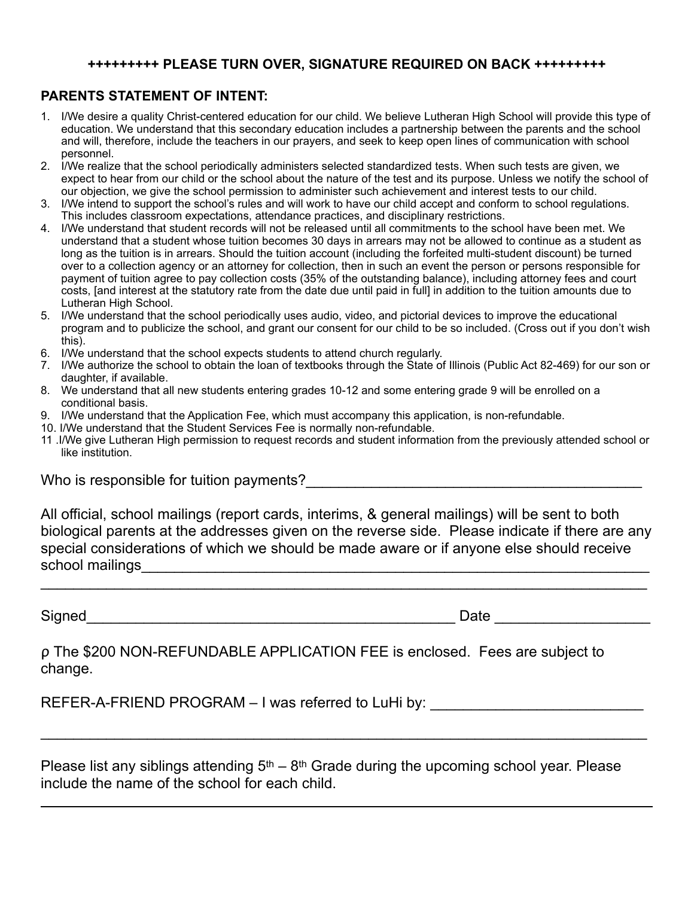#### **+++++++++ PLEASE TURN OVER, SIGNATURE REQUIRED ON BACK +++++++++**

### **PARENTS STATEMENT OF INTENT:**

- 1. I/We desire a quality Christ-centered education for our child. We believe Lutheran High School will provide this type of education. We understand that this secondary education includes a partnership between the parents and the school and will, therefore, include the teachers in our prayers, and seek to keep open lines of communication with school personnel.
- 2. I/We realize that the school periodically administers selected standardized tests. When such tests are given, we expect to hear from our child or the school about the nature of the test and its purpose. Unless we notify the school of our objection, we give the school permission to administer such achievement and interest tests to our child.
- 3. I/We intend to support the school's rules and will work to have our child accept and conform to school regulations. This includes classroom expectations, attendance practices, and disciplinary restrictions.
- 4. I/We understand that student records will not be released until all commitments to the school have been met. We understand that a student whose tuition becomes 30 days in arrears may not be allowed to continue as a student as long as the tuition is in arrears. Should the tuition account (including the forfeited multi-student discount) be turned over to a collection agency or an attorney for collection, then in such an event the person or persons responsible for payment of tuition agree to pay collection costs (35% of the outstanding balance), including attorney fees and court costs, [and interest at the statutory rate from the date due until paid in full] in addition to the tuition amounts due to Lutheran High School.
- 5. I/We understand that the school periodically uses audio, video, and pictorial devices to improve the educational program and to publicize the school, and grant our consent for our child to be so included. (Cross out if you don't wish this).
- 6. I/We understand that the school expects students to attend church regularly.
- 7. I/We authorize the school to obtain the loan of textbooks through the State of Illinois (Public Act 82-469) for our son or daughter, if available.
- 8. We understand that all new students entering grades 10-12 and some entering grade 9 will be enrolled on a conditional basis.
- 9. I/We understand that the Application Fee, which must accompany this application, is non-refundable.
- 10. I/We understand that the Student Services Fee is normally non-refundable.
- 11 .I/We give Lutheran High permission to request records and student information from the previously attended school or like institution.

Who is responsible for tuition payments?

All official, school mailings (report cards, interims, & general mailings) will be sent to both biological parents at the addresses given on the reverse side. Please indicate if there are any special considerations of which we should be made aware or if anyone else should receive school mailings

 $\mathcal{L}_\text{G}$  , and the contribution of the contribution of the contribution of the contribution of the contribution of the contribution of the contribution of the contribution of the contribution of the contribution of t

Signed **Example 20** and the set of the set of the set of the set of the set of the set of the set of the set of the set of the set of the set of the set of the set of the set of the set of the set of the set of the set of

 $\overline{a}$ 

ρ The \$200 NON-REFUNDABLE APPLICATION FEE is enclosed. Fees are subject to change.

REFER-A-FRIEND PROGRAM – I was referred to LuHi by:

Please list any siblings attending  $5<sup>th</sup> - 8<sup>th</sup>$  Grade during the upcoming school year. Please include the name of the school for each child.

 $\mathcal{L}_\text{G}$  , and the contribution of the contribution of the contribution of the contribution of the contribution of the contribution of the contribution of the contribution of the contribution of the contribution of t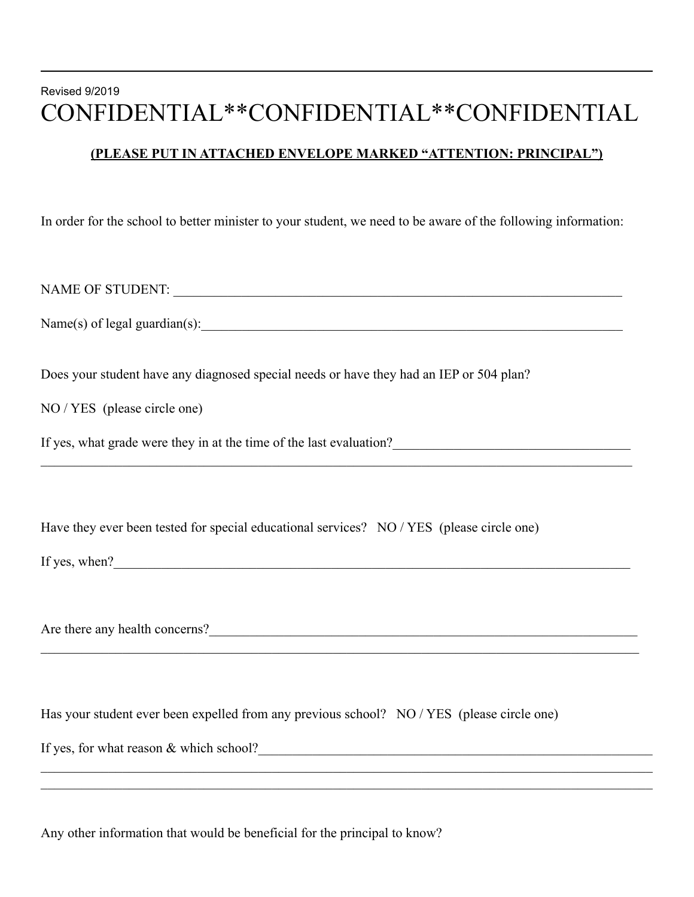## Revised 9/2019 CONFIDENTIAL\*\*CONFIDENTIAL\*\*CONFIDENTIAL

## **(PLEASE PUT IN ATTACHED ENVELOPE MARKED "ATTENTION: PRINCIPAL")**

In order for the school to better minister to your student, we need to be aware of the following information:

NAME OF STUDENT: \_\_\_\_\_\_\_\_\_\_\_\_\_\_\_\_\_\_\_\_\_\_\_\_\_\_\_\_\_\_\_\_\_\_\_\_\_\_\_\_\_\_\_\_\_\_\_\_\_\_\_\_\_\_\_\_\_\_\_\_\_\_\_\_\_\_  $Name(s)$  of legal guardian(s):  $\qquad \qquad$ Does your student have any diagnosed special needs or have they had an IEP or 504 plan? NO / YES (please circle one) If yes, what grade were they in at the time of the last evaluation?  $\mathcal{L}_\mathcal{L} = \mathcal{L}_\mathcal{L} = \mathcal{L}_\mathcal{L} = \mathcal{L}_\mathcal{L} = \mathcal{L}_\mathcal{L} = \mathcal{L}_\mathcal{L} = \mathcal{L}_\mathcal{L} = \mathcal{L}_\mathcal{L} = \mathcal{L}_\mathcal{L} = \mathcal{L}_\mathcal{L} = \mathcal{L}_\mathcal{L} = \mathcal{L}_\mathcal{L} = \mathcal{L}_\mathcal{L} = \mathcal{L}_\mathcal{L} = \mathcal{L}_\mathcal{L} = \mathcal{L}_\mathcal{L} = \mathcal{L}_\mathcal{L}$ Have they ever been tested for special educational services? NO / YES (please circle one) If yes, when? Are there any health concerns?  $\_$  , and the set of the set of the set of the set of the set of the set of the set of the set of the set of the set of the set of the set of the set of the set of the set of the set of the set of the set of the set of th Has your student ever been expelled from any previous school? NO / YES (please circle one)

 $\mathcal{L}_\mathcal{L} = \mathcal{L}_\mathcal{L} = \mathcal{L}_\mathcal{L} = \mathcal{L}_\mathcal{L} = \mathcal{L}_\mathcal{L} = \mathcal{L}_\mathcal{L} = \mathcal{L}_\mathcal{L} = \mathcal{L}_\mathcal{L} = \mathcal{L}_\mathcal{L} = \mathcal{L}_\mathcal{L} = \mathcal{L}_\mathcal{L} = \mathcal{L}_\mathcal{L} = \mathcal{L}_\mathcal{L} = \mathcal{L}_\mathcal{L} = \mathcal{L}_\mathcal{L} = \mathcal{L}_\mathcal{L} = \mathcal{L}_\mathcal{L}$  $\mathcal{L}_\mathcal{L} = \mathcal{L}_\mathcal{L} = \mathcal{L}_\mathcal{L} = \mathcal{L}_\mathcal{L} = \mathcal{L}_\mathcal{L} = \mathcal{L}_\mathcal{L} = \mathcal{L}_\mathcal{L} = \mathcal{L}_\mathcal{L} = \mathcal{L}_\mathcal{L} = \mathcal{L}_\mathcal{L} = \mathcal{L}_\mathcal{L} = \mathcal{L}_\mathcal{L} = \mathcal{L}_\mathcal{L} = \mathcal{L}_\mathcal{L} = \mathcal{L}_\mathcal{L} = \mathcal{L}_\mathcal{L} = \mathcal{L}_\mathcal{L}$ 

If yes, for what reason  $&$  which school?

 $\overline{a}$ 

Any other information that would be beneficial for the principal to know?